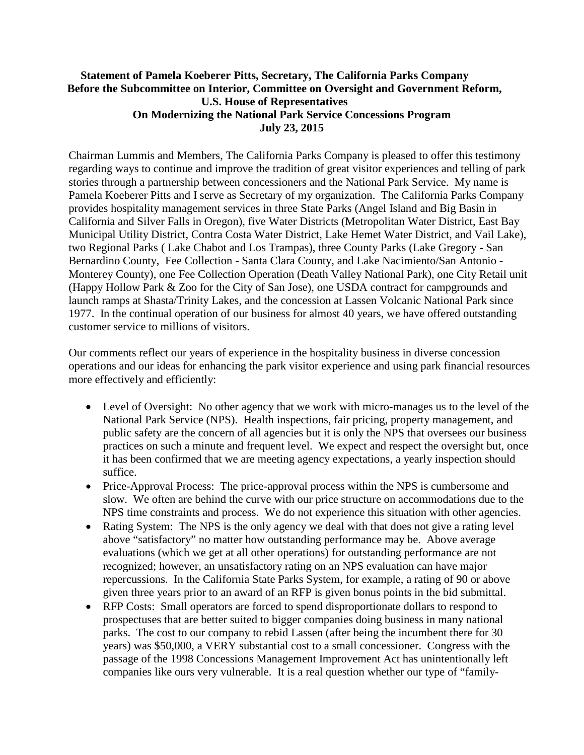## **Statement of Pamela Koeberer Pitts, Secretary, The California Parks Company Before the Subcommittee on Interior, Committee on Oversight and Government Reform, U.S. House of Representatives On Modernizing the National Park Service Concessions Program July 23, 2015**

Chairman Lummis and Members, The California Parks Company is pleased to offer this testimony regarding ways to continue and improve the tradition of great visitor experiences and telling of park stories through a partnership between concessioners and the National Park Service. My name is Pamela Koeberer Pitts and I serve as Secretary of my organization. The California Parks Company provides hospitality management services in three State Parks (Angel Island and Big Basin in California and Silver Falls in Oregon), five Water Districts (Metropolitan Water District, East Bay Municipal Utility District, Contra Costa Water District, Lake Hemet Water District, and Vail Lake), two Regional Parks ( Lake Chabot and Los Trampas), three County Parks (Lake Gregory - San Bernardino County, Fee Collection - Santa Clara County, and Lake Nacimiento/San Antonio - Monterey County), one Fee Collection Operation (Death Valley National Park), one City Retail unit (Happy Hollow Park & Zoo for the City of San Jose), one USDA contract for campgrounds and launch ramps at Shasta/Trinity Lakes, and the concession at Lassen Volcanic National Park since 1977. In the continual operation of our business for almost 40 years, we have offered outstanding customer service to millions of visitors.

Our comments reflect our years of experience in the hospitality business in diverse concession operations and our ideas for enhancing the park visitor experience and using park financial resources more effectively and efficiently:

- Level of Oversight: No other agency that we work with micro-manages us to the level of the National Park Service (NPS). Health inspections, fair pricing, property management, and public safety are the concern of all agencies but it is only the NPS that oversees our business practices on such a minute and frequent level. We expect and respect the oversight but, once it has been confirmed that we are meeting agency expectations, a yearly inspection should suffice.
- Price-Approval Process: The price-approval process within the NPS is cumbersome and slow. We often are behind the curve with our price structure on accommodations due to the NPS time constraints and process. We do not experience this situation with other agencies.
- Rating System: The NPS is the only agency we deal with that does not give a rating level above "satisfactory" no matter how outstanding performance may be. Above average evaluations (which we get at all other operations) for outstanding performance are not recognized; however, an unsatisfactory rating on an NPS evaluation can have major repercussions. In the California State Parks System, for example, a rating of 90 or above given three years prior to an award of an RFP is given bonus points in the bid submittal.
- RFP Costs: Small operators are forced to spend disproportionate dollars to respond to prospectuses that are better suited to bigger companies doing business in many national parks. The cost to our company to rebid Lassen (after being the incumbent there for 30 years) was \$50,000, a VERY substantial cost to a small concessioner. Congress with the passage of the 1998 Concessions Management Improvement Act has unintentionally left companies like ours very vulnerable. It is a real question whether our type of "family-